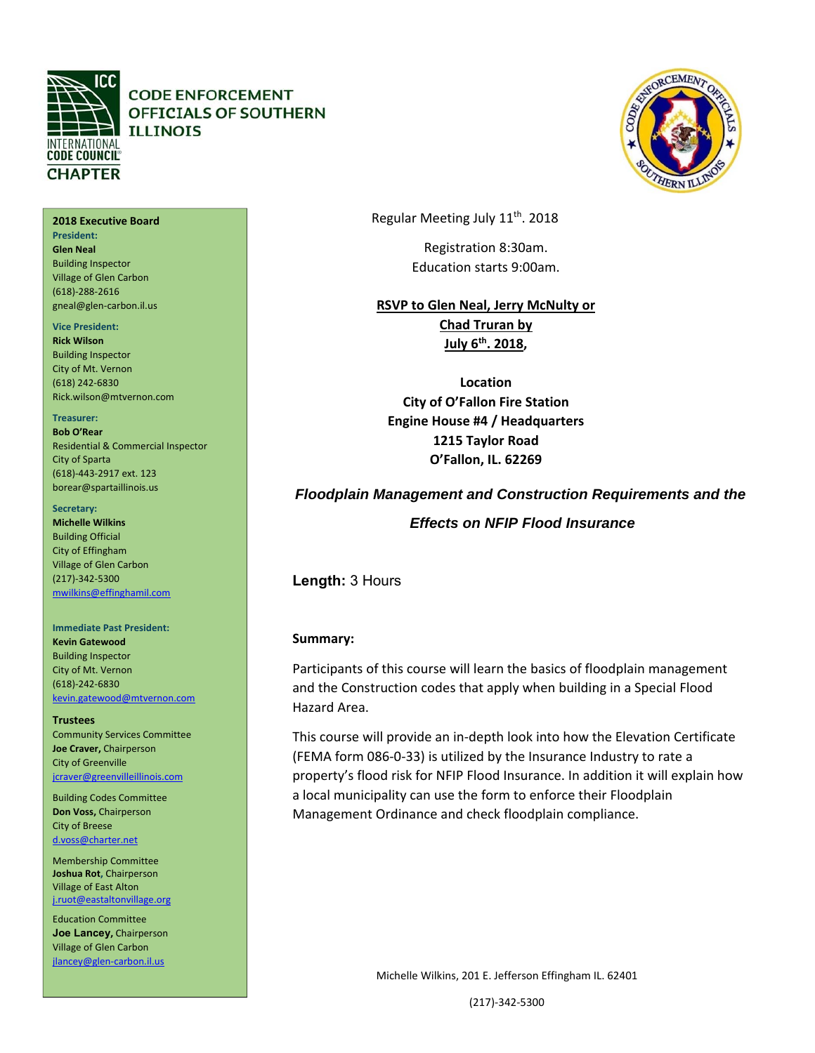

#### **2018 Executive Board President: Glen Neal**  Building Inspector Village of Glen Carbon (618)‐288‐2616

gneal@glen‐carbon.il.us

#### **Vice President:**

**Rick Wilson**  Building Inspector City of Mt. Vernon (618) 242‐6830 Rick.wilson@mtvernon.com

### **Treasurer:**

**Bob O'Rear**  Residential & Commercial Inspector City of Sparta (618)‐443‐2917 ext. 123 borear@spartaillinois.us

#### Secretary:

**Michelle Wilkins**  Building Official City of Effingham Village of Glen Carbon (217)‐342‐5300 mwilkins@effinghamil.com

### **Immediate Past President:**

**Kevin Gatewood**  Building Inspector City of Mt. Vernon (618)‐242‐6830 kevin.gatewood@mtvernon.com

**Trustees** 

Community Services Committee **Joe Craver,** Chairperson City of Greenville jcraver@greenvilleillinois.com

Building Codes Committee **Don Voss,** Chairperson City of Breese d.voss@charter.net

Membership Committee **Joshua Rot,** Chairperson Village of East Alton j.ruot@eastaltonvillage.org

Education Committee **Joe Lancey,** Chairperson Village of Glen Carbon jlancey@glen‐carbon.il.us

Regular Meeting July 11th. 2018

Registration 8:30am. Education starts 9:00am.

**RSVP to Glen Neal, Jerry McNulty or Chad Truran by July 6th. 2018,** 

**Location City of O'Fallon Fire Station Engine House #4 / Headquarters 1215 Taylor Road O'Fallon, IL. 62269** 

# *Floodplain Management and Construction Requirements and the*

 *Effects on NFIP Flood Insurance* 

**Length:** 3 Hours

### **Summary:**

Participants of this course will learn the basics of floodplain management and the Construction codes that apply when building in a Special Flood Hazard Area.

This course will provide an in‐depth look into how the Elevation Certificate (FEMA form 086‐0‐33) is utilized by the Insurance Industry to rate a property's flood risk for NFIP Flood Insurance. In addition it will explain how a local municipality can use the form to enforce their Floodplain Management Ordinance and check floodplain compliance.

Michelle Wilkins, 201 E. Jefferson Effingham IL. 62401

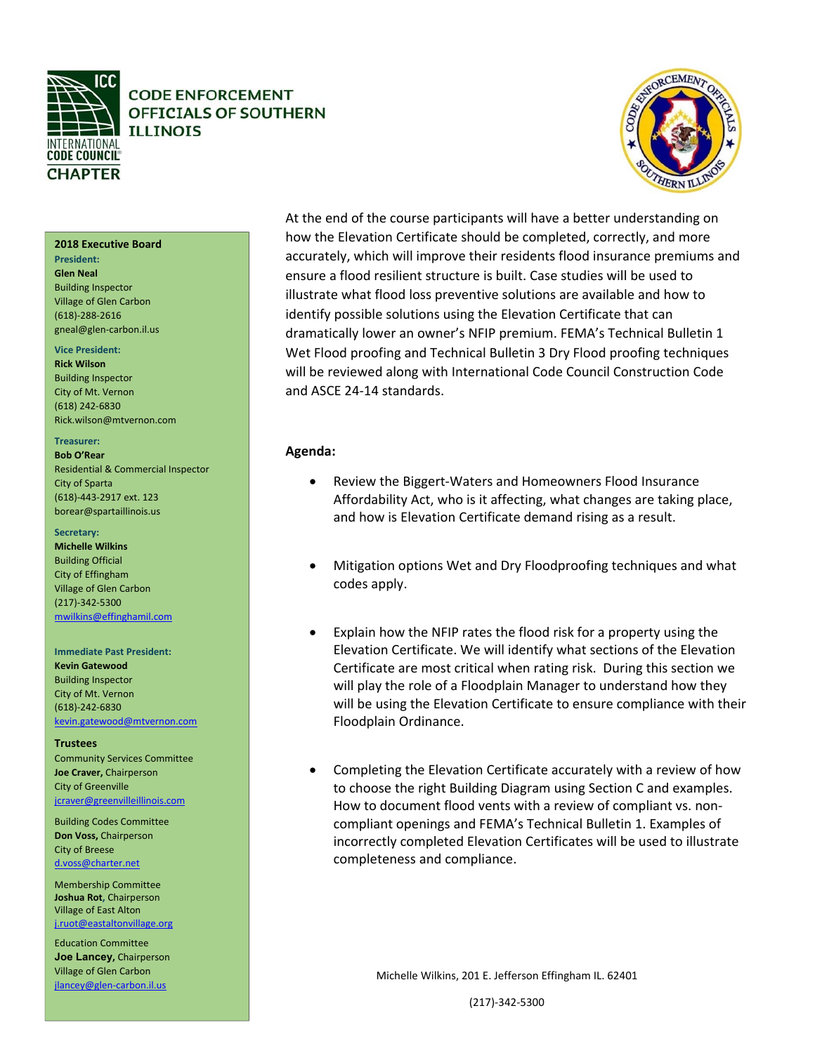



### At the end of the course participants will have a better understanding on how the Elevation Certificate should be completed, correctly, and more accurately, which will improve their residents flood insurance premiums and ensure a flood resilient structure is built. Case studies will be used to illustrate what flood loss preventive solutions are available and how to identify possible solutions using the Elevation Certificate that can dramatically lower an owner's NFIP premium. FEMA's Technical Bulletin 1 Wet Flood proofing and Technical Bulletin 3 Dry Flood proofing techniques will be reviewed along with International Code Council Construction Code and ASCE 24‐14 standards.

### **Agenda:**

- Review the Biggert-Waters and Homeowners Flood Insurance Affordability Act, who is it affecting, what changes are taking place, and how is Elevation Certificate demand rising as a result.
- Mitigation options Wet and Dry Floodproofing techniques and what codes apply.
- Explain how the NFIP rates the flood risk for a property using the Elevation Certificate. We will identify what sections of the Elevation Certificate are most critical when rating risk. During this section we will play the role of a Floodplain Manager to understand how they will be using the Elevation Certificate to ensure compliance with their Floodplain Ordinance.
- Completing the Elevation Certificate accurately with a review of how to choose the right Building Diagram using Section C and examples. How to document flood vents with a review of compliant vs. non‐ compliant openings and FEMA's Technical Bulletin 1. Examples of incorrectly completed Elevation Certificates will be used to illustrate completeness and compliance.

Michelle Wilkins, 201 E. Jefferson Effingham IL. 62401

(217)‐342‐5300

**2018 Executive Board** 

#### **President:**

**Glen Neal**  Building Inspector Village of Glen Carbon (618)‐288‐2616 gneal@glen‐carbon.il.us

### **Vice President:**

**Rick Wilson**  Building Inspector City of Mt. Vernon (618) 242‐6830 Rick.wilson@mtvernon.com

#### **Treasurer:**

**Bob O'Rear**  Residential & Commercial Inspector City of Sparta (618)‐443‐2917 ext. 123 borear@spartaillinois.us

#### Secretary:

**Michelle Wilkins**  Building Official City of Effingham Village of Glen Carbon (217)‐342‐5300 mwilkins@effinghamil.com

#### **Immediate Past President:**

**Kevin Gatewood**  Building Inspector City of Mt. Vernon (618)‐242‐6830 kevin.gatewood@mtvernon.com

**Trustees**  Community Services Committee **Joe Craver,** Chairperson City of Greenville jcraver@greenvilleillinois.com

Building Codes Committee **Don Voss,** Chairperson City of Breese d.voss@charter.net

Membership Committee **Joshua Rot,** Chairperson Village of East Alton j.ruot@eastaltonvillage.org

Education Committee **Joe Lancey,** Chairperson Village of Glen Carbon jlancey@glen‐carbon.il.us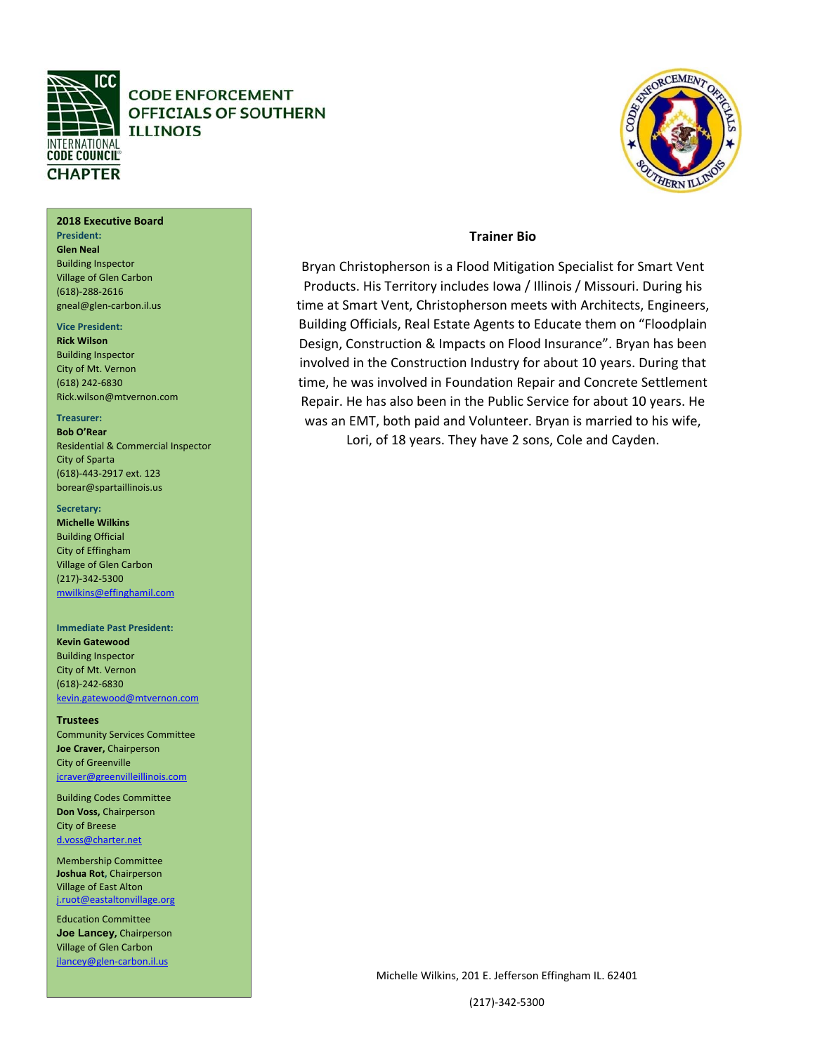

### **2018 Executive Board**

**President: Glen Neal**  Building Inspector Village of Glen Carbon (618)‐288‐2616 gneal@glen‐carbon.il.us

#### **Vice President:**

**Rick Wilson**  Building Inspector City of Mt. Vernon (618) 242‐6830 Rick.wilson@mtvernon.com

#### **Treasurer:**

**Bob O'Rear**  Residential & Commercial Inspector City of Sparta (618)‐443‐2917 ext. 123 borear@spartaillinois.us

#### **Secretary:**

Official<br>Contractor of the contractor of the contractor of the contractor of the contractor of the contractor of the co **Michelle Wilkins**  Building Official City of Effingham Village of Glen Carbon (217)‐342‐5300 mwilkins@effinghamil.com

#### **Immediate Past President: Kevin Gatewood**

Building Inspector City of Mt. Vernon (618)‐242‐6830 kevin.gatewood@mtvernon.com

**Trustees**  Community Services Committee **Joe Craver,** Chairperson City of Greenville jcraver@greenvilleillinois.com

<u>charter.net and the contract of the contract of the contract of the contract of the contract of the contract of the contract of the contract of the contract of the contract of the contract of the contract of the contract </u> Building Codes Committee **Don Voss,** Chairperson City of Breese d.voss@charter.net

 j.ruot@eastaltonvillage.org Membership Committee **Joshua Rot,** Chairperson Village of East Alton

Education Committee **Joe Lancey,** Chairperson Village of Glen Carbon jlancey@glen‐carbon.il.us

### **Trainer Bio**

Bryan Christopherson is a Flood Mitigation Specialist for Smart Vent Products. His Territory includes Iowa / Illinois / Missouri. During his time at Smart Vent, Christopherson meets with Architects, Engineers, Building Officials, Real Estate Agents to Educate them on "Floodplain Design, Construction & Impacts on Flood Insurance". Bryan has been involved in the Construction Industry for about 10 years. During that time, he was involved in Foundation Repair and Concrete Settlement Repair. He has also been in the Public Service for about 10 years. He was an EMT, both paid and Volunteer. Bryan is married to his wife, Lori, of 18 years. They have 2 sons, Cole and Cayden.

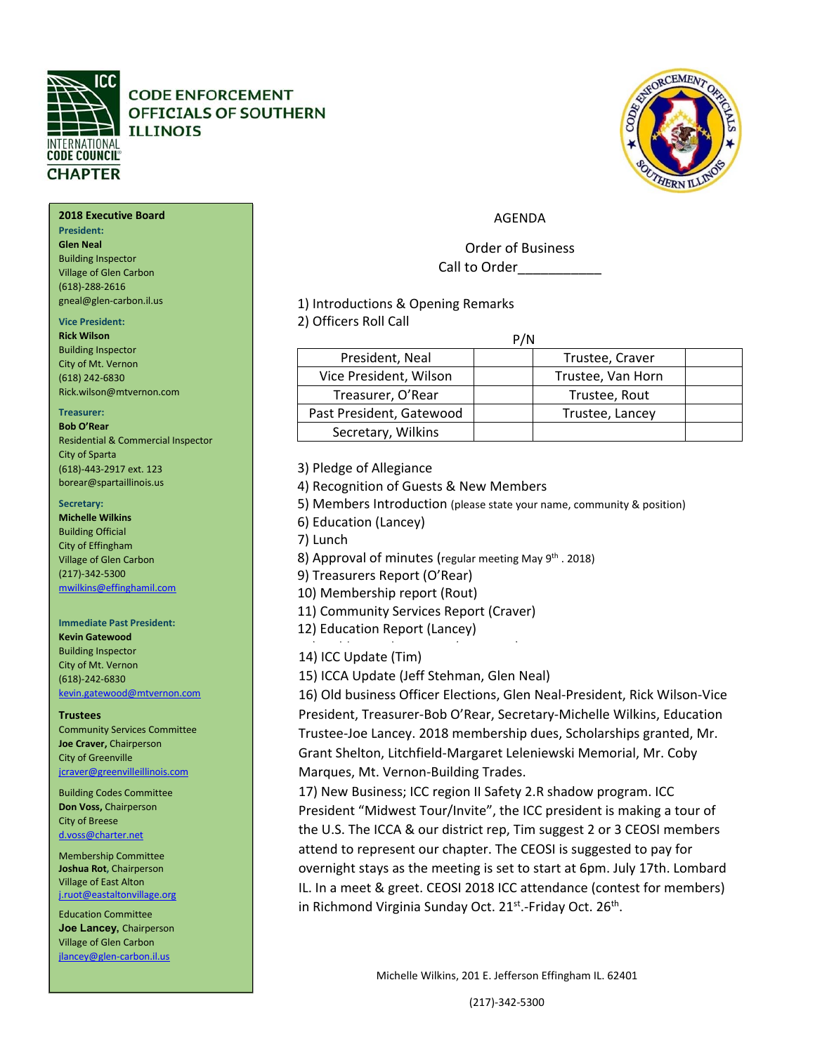

#### **2018 Executive Board 2018 Executive Board**

**President: President: Glen Neal**  Building Inspector Building Inspector Village of Glen Carbon Village of Glen Carbon (618)‐288‐2616 (618)‐288‐2616 gneal@glen‐carbon.il.us gneal@glen‐carbon.il.us

#### **Vice President:**

**Rick Wilson Rick Wilson**  Building Inspector City of Mt. Vernon City of Mt. Vernon (618) 242‐6830 (618) 242‐6830 Rick.wilson@mtvernon.com Rick.wilson@mtvernon.com

#### **Treasurer: Treasurer:**

**Bob O'Rear Bob O'Rear** Residential & Commercial Inspector Residential & Commercial Inspector City of Sparta (618)‐443‐2917 ext. 123 City of Sparta (618)‐443‐2917 ext. 123 borear@spartaillinois.us borear@spartaillinois.us

#### **Secretary:**

**Michelle Wilkins Michelle Wilkins**  Building Official City of Effingham City of Effingham Village of Glen Carbon Village of Glen Carbon (217)‐342‐5300 (217)‐342‐5300 mwilkins@effinghamil.com mwilkins@effinghamil.com

#### Inspector  $\vert$  14) ICC Update (Tim) **Immediate Past President: Immediate Past President: Kevin Gatewood Kevin Gatewood**  Building Inspector Building Inspector City of Mt. Vernon City of Mt. Vernon (618)‐242‐6830 (618)‐242‐6830 kevin.gatewood@mtvernon.com kevin.gatewood@mtvernon.com

**Trustees Trustees** 

Community Services Committee **Joe Craver,** Chairperson **Joe Craver,** Chairperson City of Greenville jcraver@greenvilleillinois.com jcraver@greenvilleillinois.com

Building Codes Committee Building Codes Committee **Don Voss,** Chairperson City of Breese City of Breese d.voss@charter.net

Membership Committee Membership Committee **Joshua Rot,** Chairperson **Joshua Rot,** Chairperson Village of East Alton Village of East Alton j.ruot@eastaltonvillage.org

Education Committee Education Committee **Joe Lancey,** Chairperson **Joe Lancey,** Chairperson Village of Glen Carbon jlancey@glen‐carbon.il.us jlancey@glen‐carbon.il.us

### AGENDA

Order of Business Call to Order\_\_\_\_\_\_\_\_\_\_\_

1) Introductions & Opening Remarks

2) Officers Roll Call

| P/N                      |                   |  |
|--------------------------|-------------------|--|
| President, Neal          | Trustee, Craver   |  |
| Vice President, Wilson   | Trustee, Van Horn |  |
| Treasurer, O'Rear        | Trustee, Rout     |  |
| Past President, Gatewood | Trustee, Lancey   |  |
| Secretary, Wilkins       |                   |  |

3) Pledge of Allegiance

4) Recognition of Guests & New Members

5) Members Introduction (please state your name, community & position)

6) Education (Lancey)

7) Lunch

8) Approval of minutes (regular meeting May 9<sup>th</sup> . 2018)

9) Treasurers Report (O'Rear)

10) Membership report (Rout)

11) Community Services Report (Craver)

12) Education Report (Lancey)

15) ICCA Update (Jeff Stehman, Glen Neal)

16) Old business Officer Elections, Glen Neal‐President, Rick Wilson‐Vice President, Treasurer‐Bob O'Rear, Secretary‐Michelle Wilkins, Education Trustee‐Joe Lancey. 2018 membership dues, Scholarships granted, Mr. Grant Shelton, Litchfield‐Margaret Leleniewski Memorial, Mr. Coby Marques, Mt. Vernon‐Building Trades.

17) New Business; ICC region II Safety 2.R shadow program. ICC President "Midwest Tour/Invite", the ICC president is making a tour of the U.S. The ICCA & our district rep, Tim suggest 2 or 3 CEOSI members attend to represent our chapter. The CEOSI is suggested to pay for overnight stays as the meeting is set to start at 6pm. July 17th. Lombard IL. In a meet & greet. CEOSI 2018 ICC attendance (contest for members) in Richmond Virginia Sunday Oct.  $21^{st}$ -Friday Oct.  $26^{th}$ .

Michelle Wilkins, 201 E. Jefferson Effingham IL. 62401